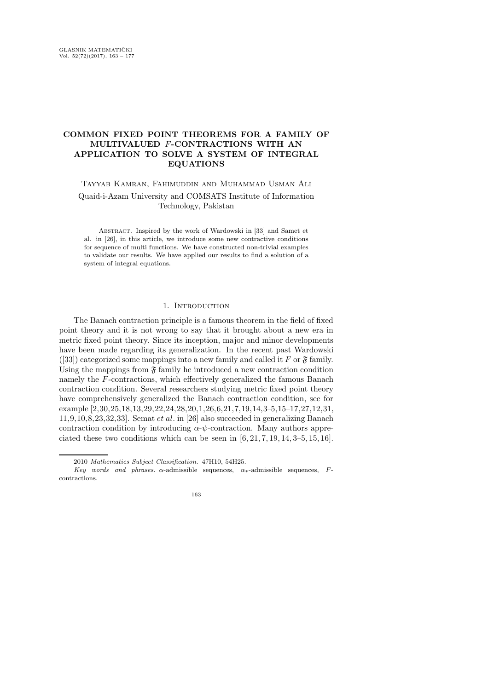# COMMON FIXED POINT THEOREMS FOR A FAMILY OF MULTIVALUED F-CONTRACTIONS WITH AN APPLICATION TO SOLVE A SYSTEM OF INTEGRAL EQUATIONS

Tayyab Kamran, Fahimuddin and Muhammad Usman Ali

Quaid-i-Azam University and COMSATS Institute of Information Technology, Pakistan

Abstract. Inspired by the work of Wardowski in [33] and Samet et al. in [26], in this article, we introduce some new contractive conditions for sequence of multi functions. We have constructed non-trivial examples to validate our results. We have applied our results to find a solution of a system of integral equations.

## 1. INTRODUCTION

The Banach contraction principle is a famous theorem in the field of fixed point theory and it is not wrong to say that it brought about a new era in metric fixed point theory. Since its inception, major and minor developments have been made regarding its generalization. In the recent past Wardowski ([33]) categorized some mappings into a new family and called it F or  $\mathfrak{F}$  family. Using the mappings from  $\mathfrak F$  family he introduced a new contraction condition namely the F-contractions, which effectively generalized the famous Banach contraction condition. Several researchers studying metric fixed point theory have comprehensively generalized the Banach contraction condition, see for example [2,30,25,18,13,29,22,24,28,20,1,26,6,21,7,19,14,3–5,15–17,27,12,31, 11,9,10,8,23,32,33]. Semat et al. in [26] also succeeded in generalizing Banach contraction condition by introducing  $\alpha$ - $\psi$ -contraction. Many authors appreciated these two conditions which can be seen in  $[6, 21, 7, 19, 14, 3-5, 15, 16]$ .

<sup>2010</sup> Mathematics Subject Classification. 47H10, 54H25.

Key words and phrases.  $\alpha$ -admissible sequences,  $\alpha$ <sub>\*</sub>-admissible sequences, Fcontractions.

<sup>163</sup>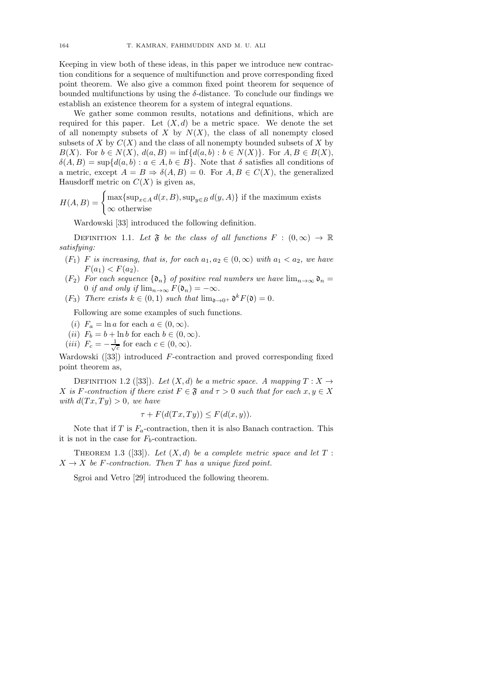Keeping in view both of these ideas, in this paper we introduce new contraction conditions for a sequence of multifunction and prove corresponding fixed point theorem. We also give a common fixed point theorem for sequence of bounded multifunctions by using the  $\delta$ -distance. To conclude our findings we establish an existence theorem for a system of integral equations.

We gather some common results, notations and definitions, which are required for this paper. Let  $(X, d)$  be a metric space. We denote the set of all nonempty subsets of X by  $N(X)$ , the class of all nonempty closed subsets of X by  $C(X)$  and the class of all nonempty bounded subsets of X by  $B(X)$ . For  $b \in N(X)$ ,  $d(a, B) = \inf \{d(a, b) : b \in N(X)\}$ . For  $A, B \in B(X)$ ,  $\delta(A, B) = \sup \{d(a, b) : a \in A, b \in B\}$ . Note that  $\delta$  satisfies all conditions of a metric, except  $A = B \Rightarrow \delta(A, B) = 0$ . For  $A, B \in C(X)$ , the generalized Hausdorff metric on  $C(X)$  is given as,

 $H(A, B) = \begin{cases} \max\{\sup_{x \in A} d(x, B), \sup_{y \in B} d(y, A)\} \text{ if the maximum exists} \end{cases}$ ∞ otherwise

Wardowski [33] introduced the following definition.

DEFINITION 1.1. Let  $\mathfrak{F}$  be the class of all functions  $F : (0, \infty) \to \mathbb{R}$ satisfying:

- $(F_1)$  F is increasing, that is, for each  $a_1, a_2 \in (0, \infty)$  with  $a_1 < a_2$ , we have  $F(a_1) < F(a_2)$ .
- $(F_2)$  For each sequence  $\{\mathfrak{d}_n\}$  of positive real numbers we have  $\lim_{n\to\infty} \mathfrak{d}_n =$ 0 if and only if  $\lim_{n\to\infty} F(\mathfrak{d}_n) = -\infty$ .
- (F<sub>3</sub>) There exists  $k \in (0,1)$  such that  $\lim_{\mathfrak{d} \to 0^+} \mathfrak{d}^k F(\mathfrak{d}) = 0$ .

Following are some examples of such functions.

- (i)  $F_a = \ln a$  for each  $a \in (0, \infty)$ .
- (ii)  $F_b = b + \ln b$  for each  $b \in (0, \infty)$ .
- (*iii*)  $F_c = -\frac{1}{\sqrt{c}}$  for each  $c \in (0, \infty)$ .

Wardowski ([33]) introduced F-contraction and proved corresponding fixed point theorem as,

DEFINITION 1.2 ([33]). Let  $(X, d)$  be a metric space. A mapping  $T : X \rightarrow$ X is F-contraction if there exist  $F \in \mathfrak{F}$  and  $\tau > 0$  such that for each  $x, y \in X$ with  $d(Tx, Ty) > 0$ , we have

$$
\tau + F(d(Tx, Ty)) \le F(d(x, y)).
$$

Note that if T is  $F_a$ -contraction, then it is also Banach contraction. This it is not in the case for  $F_b$ -contraction.

THEOREM 1.3 ([33]). Let  $(X, d)$  be a complete metric space and let  $T$ :  $X \rightarrow X$  be F-contraction. Then T has a unique fixed point.

Sgroi and Vetro [29] introduced the following theorem.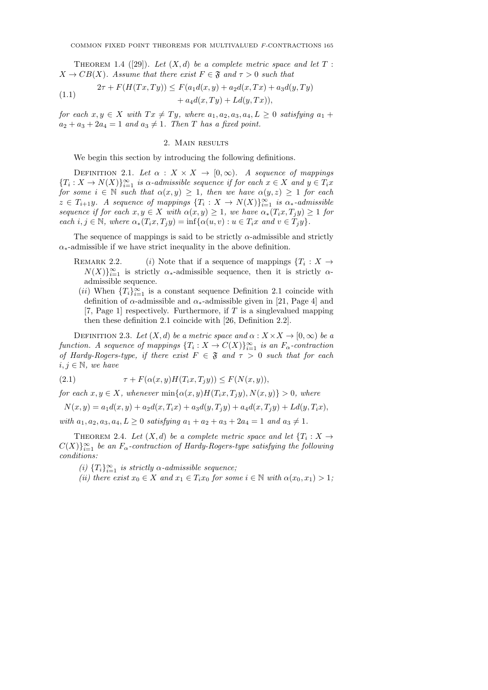THEOREM 1.4 ([29]). Let  $(X, d)$  be a complete metric space and let  $T$ :  $X \to CB(X)$ . Assume that there exist  $F \in \mathfrak{F}$  and  $\tau > 0$  such that

(1.1) 
$$
2\tau + F(H(Tx,Ty)) \le F(a_1d(x,y) + a_2d(x,Tx) + a_3d(y,Ty) + a_4d(x,Ty) + Ld(y,Tx)),
$$

for each  $x, y \in X$  with  $Tx \neq Ty$ , where  $a_1, a_2, a_3, a_4, L \geq 0$  satisfying  $a_1 +$  $a_2 + a_3 + 2a_4 = 1$  and  $a_3 \neq 1$ . Then T has a fixed point.

#### 2. Main results

We begin this section by introducing the following definitions.

DEFINITION 2.1. Let  $\alpha : X \times X \to [0, \infty)$ . A sequence of mappings  $\{T_i: X \to N(X)\}_{i=1}^{\infty}$  is  $\alpha$ -admissible sequence if for each  $x \in X$  and  $y \in T_i x$ for some  $i \in \mathbb{N}$  such that  $\alpha(x, y) \geq 1$ , then we have  $\alpha(y, z) \geq 1$  for each  $z \in T_{i+1}y$ . A sequence of mappings  $\{T_i: X \to N(X)\}_{i=1}^{\infty}$  is  $\alpha_*$ -admissible sequence if for each  $x, y \in X$  with  $\alpha(x, y) \geq 1$ , we have  $\alpha_*(T_i x, T_j y) \geq 1$  for each  $i, j \in \mathbb{N}$ , where  $\alpha_*(T_ix, T_jy) = \inf{\alpha(u, v) : u \in T_ix$  and  $v \in T_jy\}.$ 

The sequence of mappings is said to be strictly  $\alpha$ -admissible and strictly  $\alpha_*$ -admissible if we have strict inequality in the above definition.

- REMARK 2.2. (i) Note that if a sequence of mappings  $\{T_i : X \to \mathbb{R}\}$  $N(X)$ <sub>i=1</sub> is strictly  $\alpha$ <sub>\*</sub>-admissible sequence, then it is strictly  $\alpha$ admissible sequence.
- $(ii)$  When  ${T_i}_{i=1}^{\infty}$  is a constant sequence Definition 2.1 coincide with definition of  $\alpha$ -admissible and  $\alpha_*$ -admissible given in [21, Page 4] and [7, Page 1] respectively. Furthermore, if  $T$  is a singlevalued mapping then these definition 2.1 coincide with [26, Definition 2.2].

DEFINITION 2.3. Let  $(X, d)$  be a metric space and  $\alpha : X \times X \to [0, \infty)$  be a function. A sequence of mappings  ${T_i : X \to C(X)}_{i=1}^{\infty}$  is an  $F_{\alpha}$ -contraction of Hardy-Rogers-type, if there exist  $F \in \mathfrak{F}$  and  $\tau > 0$  such that for each  $i, j \in \mathbb{N}$ , we have

(2.1) 
$$
\tau + F(\alpha(x, y)H(T_ix, T_jy)) \le F(N(x, y)),
$$

for each  $x, y \in X$ , whenever  $\min{\alpha(x, y)H(T_i x, T_i y), N(x, y)} > 0$ , where

$$
N(x,y) = a_1 d(x,y) + a_2 d(x,T_i x) + a_3 d(y,T_j y) + a_4 d(x,T_j y) + L d(y,T_i x),
$$

with  $a_1, a_2, a_3, a_4, L \geq 0$  satisfying  $a_1 + a_2 + a_3 + 2a_4 = 1$  and  $a_3 \neq 1$ .

THEOREM 2.4. Let  $(X,d)$  be a complete metric space and let  $\{T_i : X \to Y\}$  $C(X)\}_{i=1}^{\infty}$  be an  $F_{\alpha}$ -contraction of Hardy-Rogers-type satisfying the following conditions:

- (i)  ${T_i}_{i=1}^{\infty}$  is strictly  $\alpha$ -admissible sequence;
- (ii) there exist  $x_0 \in X$  and  $x_1 \in T_i x_0$  for some  $i \in \mathbb{N}$  with  $\alpha(x_0, x_1) > 1$ ;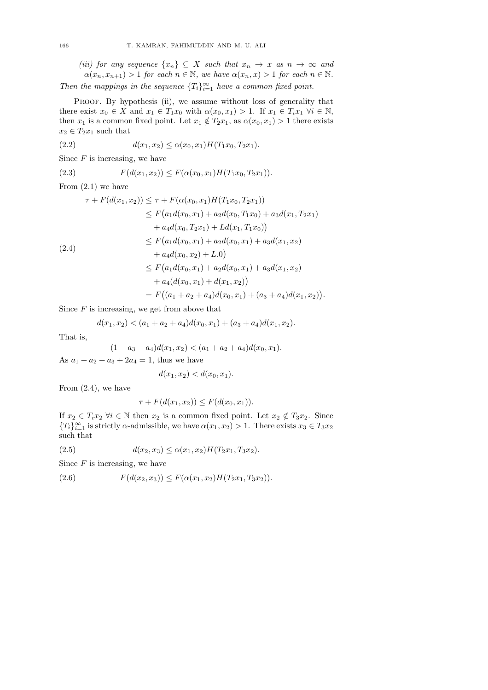(iii) for any sequence  $\{x_n\} \subseteq X$  such that  $x_n \to x$  as  $n \to \infty$  and  $\alpha(x_n, x_{n+1}) > 1$  for each  $n \in \mathbb{N}$ , we have  $\alpha(x_n, x) > 1$  for each  $n \in \mathbb{N}$ .

Then the mappings in the sequence  $\{T_i\}_{i=1}^{\infty}$  have a common fixed point.

PROOF. By hypothesis (ii), we assume without loss of generality that there exist  $x_0 \in X$  and  $x_1 \in T_1x_0$  with  $\alpha(x_0, x_1) > 1$ . If  $x_1 \in T_ix_1 \ \forall i \in \mathbb{N}$ , then  $x_1$  is a common fixed point. Let  $x_1 \notin T_2x_1$ , as  $\alpha(x_0, x_1) > 1$  there exists  $x_2 \in T_2x_1$  such that

(2.2) 
$$
d(x_1, x_2) \leq \alpha(x_0, x_1) H(T_1 x_0, T_2 x_1).
$$

Since  $F$  is increasing, we have

(2.3) 
$$
F(d(x_1, x_2)) \leq F(\alpha(x_0, x_1)H(T_1x_0, T_2x_1)).
$$

From (2.1) we have

$$
\tau + F(d(x_1, x_2)) \leq \tau + F(\alpha(x_0, x_1)H(T_1x_0, T_2x_1))
$$
  
\n
$$
\leq F(a_1d(x_0, x_1) + a_2d(x_0, T_1x_0) + a_3d(x_1, T_2x_1)
$$
  
\n
$$
+ a_4d(x_0, T_2x_1) + Ld(x_1, T_1x_0))
$$
  
\n
$$
\leq F(a_1d(x_0, x_1) + a_2d(x_0, x_1) + a_3d(x_1, x_2)
$$
  
\n
$$
+ a_4d(x_0, x_2) + L.0)
$$
  
\n
$$
\leq F(a_1d(x_0, x_1) + a_2d(x_0, x_1) + a_3d(x_1, x_2)
$$
  
\n
$$
+ a_4(d(x_0, x_1) + d(x_1, x_2))
$$
  
\n
$$
= F((a_1 + a_2 + a_4)d(x_0, x_1) + (a_3 + a_4)d(x_1, x_2)).
$$

Since  $F$  is increasing, we get from above that

$$
d(x_1, x_2) < (a_1 + a_2 + a_4)d(x_0, x_1) + (a_3 + a_4)d(x_1, x_2).
$$

That is,

$$
(1 - a_3 - a_4)d(x_1, x_2) < (a_1 + a_2 + a_4)d(x_0, x_1).
$$

As  $a_1 + a_2 + a_3 + 2a_4 = 1$ , thus we have

$$
d(x_1, x_2) < d(x_0, x_1).
$$

From  $(2.4)$ , we have

$$
\tau + F(d(x_1, x_2)) \le F(d(x_0, x_1)).
$$

If  $x_2 \in T_i x_2 \ \forall i \in \mathbb{N}$  then  $x_2$  is a common fixed point. Let  $x_2 \notin T_3 x_2$ . Since  ${T_i}_{i=1}^{\infty}$  is strictly  $\alpha$ -admissible, we have  $\alpha(x_1, x_2) > 1$ . There exists  $x_3 \in T_3x_2$ such that

(2.5) 
$$
d(x_2, x_3) \leq \alpha(x_1, x_2) H(T_2 x_1, T_3 x_2).
$$

Since  $F$  is increasing, we have

(2.6) 
$$
F(d(x_2, x_3)) \leq F(\alpha(x_1, x_2)H(T_2x_1, T_3x_2)).
$$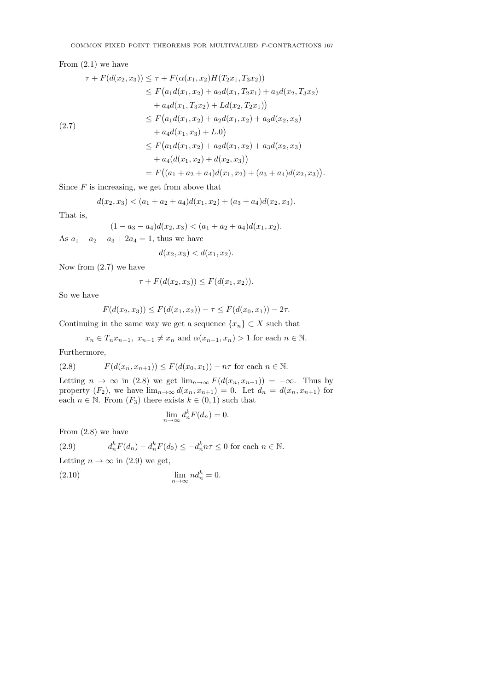# From  $(2.1)$  we have

$$
\tau + F(d(x_2, x_3)) \leq \tau + F(\alpha(x_1, x_2)H(T_2x_1, T_3x_2))
$$
  
\n
$$
\leq F(a_1d(x_1, x_2) + a_2d(x_1, T_2x_1) + a_3d(x_2, T_3x_2)
$$
  
\n
$$
+ a_4d(x_1, T_3x_2) + Ld(x_2, T_2x_1))
$$
  
\n
$$
\leq F(a_1d(x_1, x_2) + a_2d(x_1, x_2) + a_3d(x_2, x_3)
$$
  
\n
$$
+ a_4d(x_1, x_3) + L.0)
$$
  
\n
$$
\leq F(a_1d(x_1, x_2) + a_2d(x_1, x_2) + a_3d(x_2, x_3)
$$
  
\n
$$
+ a_4(d(x_1, x_2) + d(x_2, x_3))
$$
  
\n
$$
= F((a_1 + a_2 + a_4)d(x_1, x_2) + (a_3 + a_4)d(x_2, x_3)).
$$

Since  $F$  is increasing, we get from above that

$$
d(x_2, x_3) < (a_1 + a_2 + a_4)d(x_1, x_2) + (a_3 + a_4)d(x_2, x_3).
$$

That is,

$$
(1 - a_3 - a_4)d(x_2, x_3) < (a_1 + a_2 + a_4)d(x_1, x_2).
$$

As  $a_1 + a_2 + a_3 + 2a_4 = 1$ , thus we have

$$
d(x_2, x_3) < d(x_1, x_2).
$$

Now from  $(2.7)$  we have

$$
\tau + F(d(x_2, x_3)) \le F(d(x_1, x_2)).
$$

So we have

$$
F(d(x_2, x_3)) \le F(d(x_1, x_2)) - \tau \le F(d(x_0, x_1)) - 2\tau.
$$

Continuing in the same way we get a sequence  $\{x_n\} \subset X$  such that

$$
x_n \in T_n x_{n-1}, x_{n-1} \neq x_n
$$
 and  $\alpha(x_{n-1}, x_n) > 1$  for each  $n \in \mathbb{N}$ .

Furthermore,

(2.8) 
$$
F(d(x_n, x_{n+1})) \le F(d(x_0, x_1)) - n\tau \text{ for each } n \in \mathbb{N}.
$$

Letting  $n \to \infty$  in (2.8) we get  $\lim_{n \to \infty} F(d(x_n, x_{n+1})) = -\infty$ . Thus by property  $(F_2)$ , we have  $\lim_{n\to\infty} d(x_n, x_{n+1}) = 0$ . Let  $d_n = d(x_n, x_{n+1})$  for each  $n \in \mathbb{N}$ . From  $(F_3)$  there exists  $k \in (0,1)$  such that

$$
\lim_{n \to \infty} d_n^k F(d_n) = 0.
$$

 $\overline{0}$ .

From (2.8) we have

(2.9) 
$$
d_n^k F(d_n) - d_n^k F(d_0) \le -d_n^k n\tau \le 0 \text{ for each } n \in \mathbb{N}.
$$

Letting  $n \to \infty$  in (2.9) we get,

$$
\lim_{n \to \infty} n d_n^k =
$$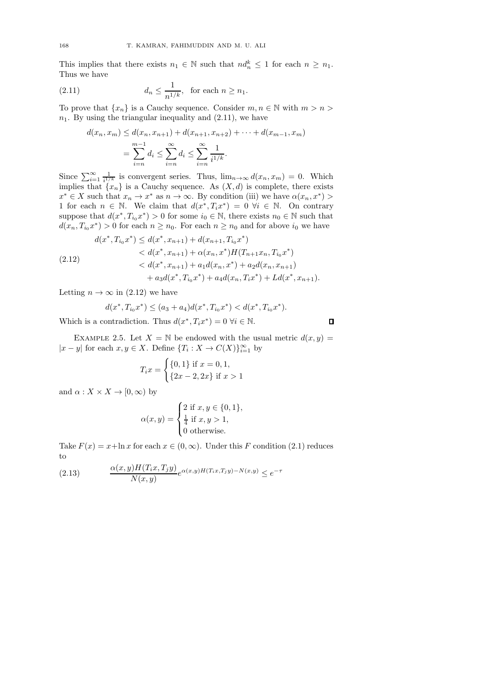This implies that there exists  $n_1 \in \mathbb{N}$  such that  $nd_n^k \leq 1$  for each  $n \geq n_1$ . Thus we have

(2.11) 
$$
d_n \le \frac{1}{n^{1/k}}, \text{ for each } n \ge n_1.
$$

To prove that  $\{x_n\}$  is a Cauchy sequence. Consider  $m, n \in \mathbb{N}$  with  $m > n >$  $n_1$ . By using the triangular inequality and  $(2.11)$ , we have

$$
d(x_n, x_m) \le d(x_n, x_{n+1}) + d(x_{n+1}, x_{n+2}) + \dots + d(x_{m-1}, x_m)
$$
  
= 
$$
\sum_{i=n}^{m-1} d_i \le \sum_{i=n}^{\infty} d_i \le \sum_{i=n}^{\infty} \frac{1}{i^{1/k}}.
$$

Since  $\sum_{i=1}^{\infty} \frac{1}{i!}$  is convergent series. Thus,  $\lim_{n\to\infty} d(x_n, x_m) = 0$ . Which implies that  $\{x_n\}$  is a Cauchy sequence. As  $(X, d)$  is complete, there exists  $x^* \in X$  such that  $x_n \to x^*$  as  $n \to \infty$ . By condition (iii) we have  $\alpha(x_n, x^*)$ 1 for each  $n \in \mathbb{N}$ . We claim that  $d(x^*, T_i x^*) = 0 \ \forall i \in \mathbb{N}$ . On contrary suppose that  $d(x^*, T_{i_0}x^*) > 0$  for some  $i_0 \in \mathbb{N}$ , there exists  $n_0 \in \mathbb{N}$  such that  $d(x_n, T_{i_0}x^*) > 0$  for each  $n \geq n_0$ . For each  $n \geq n_0$  and for above  $i_0$  we have

$$
d(x^*, T_{i_0}x^*) \le d(x^*, x_{n+1}) + d(x_{n+1}, T_{i_0}x^*)
$$
  

$$
< d(x^*, x_{n+1}) + \alpha(x_n, x^*) H(T_{n+1}x_n, T_{i_0}x^*)
$$
  

$$
< d(x^*, x_{n+1}) + a_1 d(x_n, x^*) + a_2 d(x_n, x_{n+1})
$$
  

$$
+ a_3 d(x^*, T_{i_0}x^*) + a_4 d(x_n, T_i x^*) + L d(x^*, x_{n+1}).
$$

Letting  $n \to \infty$  in (2.12) we have

$$
d(x^*, T_{i_0}x^*) \le (a_3 + a_4)d(x^*, T_{i_0}x^*) < d(x^*, T_{i_0}x^*).
$$

Which is a contradiction. Thus  $d(x^*, T_i x^*) = 0 \,\forall i \in \mathbb{N}$ .

EXAMPLE 2.5. Let  $X = \mathbb{N}$  be endowed with the usual metric  $d(x, y) =$  $|x-y|$  for each  $x, y \in X$ . Define  $\{T_i : X \to C(X)\}_{i=1}^{\infty}$  by

$$
T_i x = \begin{cases} \{0, 1\} \text{ if } x = 0, 1, \\ \{2x - 2, 2x\} \text{ if } x > 1 \end{cases}
$$

and  $\alpha: X \times X \to [0, \infty)$  by

$$
\alpha(x, y) = \begin{cases} 2 \text{ if } x, y \in \{0, 1\}, \\ \frac{1}{4} \text{ if } x, y > 1, \\ 0 \text{ otherwise.} \end{cases}
$$

Take  $F(x) = x + \ln x$  for each  $x \in (0, \infty)$ . Under this F condition (2.1) reduces to

(2.13) 
$$
\frac{\alpha(x,y)H(T_ix,T_jy)}{N(x,y)}e^{\alpha(x,y)H(T_ix,T_jy)-N(x,y)} \leq e^{-\tau}
$$

 $\Box$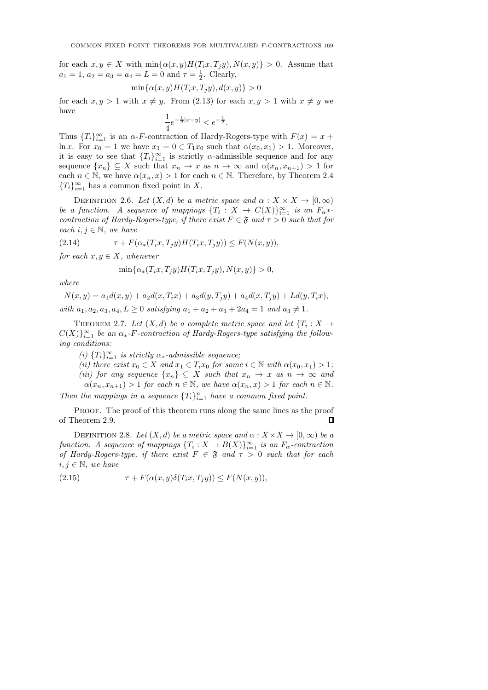for each  $x, y \in X$  with  $\min{\{\alpha(x, y)H(T_ix, T_iy), N(x, y)\}} > 0$ . Assume that  $a_1 = 1, a_2 = a_3 = a_4 = L = 0$  and  $\tau = \frac{1}{2}$ . Clearly,

$$
\min\{\alpha(x,y)H(T_ix,T_jy),d(x,y)\}>0
$$

for each  $x, y > 1$  with  $x \neq y$ . From (2.13) for each  $x, y > 1$  with  $x \neq y$  we have

$$
\frac{1}{4}e^{-\frac{1}{2}|x-y|} < e^{-\frac{1}{2}}.
$$

Thus  ${T_i}_{i=1}^{\infty}$  is an  $\alpha$ -F-contraction of Hardy-Rogers-type with  $F(x) = x +$ ln x. For  $x_0 = 1$  we have  $x_1 = 0 \in T_1x_0$  such that  $\alpha(x_0, x_1) > 1$ . Moreover, it is easy to see that  ${T_i}_{i=1}^{\infty}$  is strictly  $\alpha$ -admissible sequence and for any sequence  $\{x_n\} \subseteq X$  such that  $x_n \to x$  as  $n \to \infty$  and  $\alpha(x_n, x_{n+1}) > 1$  for each  $n \in \mathbb{N}$ , we have  $\alpha(x_n, x) > 1$  for each  $n \in \mathbb{N}$ . Therefore, by Theorem 2.4  ${T_i}_{i=1}^{\infty}$  has a common fixed point in X.

DEFINITION 2.6. Let  $(X, d)$  be a metric space and  $\alpha : X \times X \to [0, \infty)$ be a function. A sequence of mappings  ${T_i : X \to C(X)}_{i=1}^{\infty}$  is an  $F_{\alpha}$ \* contraction of Hardy-Rogers-type, if there exist  $F \in \mathfrak{F}$  and  $\tau > 0$  such that for each  $i, j \in \mathbb{N}$ , we have

(2.14)  $\tau + F(\alpha_*(T_i x, T_j y) H(T_i x, T_j y)) \leq F(N(x, y)),$ 

for each  $x, y \in X$ , whenever

$$
\min\{\alpha_*(T_ix,T_jy)H(T_ix,T_jy),N(x,y)\}>0,
$$

where

$$
N(x, y) = a_1 d(x, y) + a_2 d(x, T_i x) + a_3 d(y, T_j y) + a_4 d(x, T_j y) + L d(y, T_i x),
$$
  
with  $a_1, a_2, a_3, a_4, L \ge 0$  satisfying  $a_1 + a_2 + a_3 + 2a_4 = 1$  and  $a_3 \ne 1$ .

THEOREM 2.7. Let  $(X,d)$  be a complete metric space and let  $\{T_i : X \to Y\}$  $C(X)\}_{i=1}^{\infty}$  be an  $\alpha_*$ -F-contraction of Hardy-Rogers-type satisfying the following conditions:

(i)  $\{T_i\}_{i=1}^{\infty}$  is strictly  $\alpha_*$ -admissible sequence;

(ii) there exist  $x_0 \in X$  and  $x_1 \in T_i x_0$  for some  $i \in \mathbb{N}$  with  $\alpha(x_0, x_1) > 1$ ; (iii) for any sequence  $\{x_n\} \subseteq X$  such that  $x_n \to x$  as  $n \to \infty$  and  $\alpha(x_n, x_{n+1}) > 1$  for each  $n \in \mathbb{N}$ , we have  $\alpha(x_n, x) > 1$  for each  $n \in \mathbb{N}$ . Then the mappings in a sequence  $\{T_i\}_{i=1}^n$  have a common fixed point.

PROOF. The proof of this theorem runs along the same lines as the proof of Theorem 2.9.  $\Box$ 

DEFINITION 2.8. Let  $(X, d)$  be a metric space and  $\alpha : X \times X \to [0, \infty)$  be a function. A sequence of mappings  ${T_i : X \to B(X)}_{i=1}^{\infty}$  is an  $F_{\alpha}$ -contraction of Hardy-Rogers-type, if there exist  $F \in \mathfrak{F}$  and  $\tau > 0$  such that for each  $i, j \in \mathbb{N}$ , we have

(2.15)  $\tau + F(\alpha(x, y)\delta(T_i x, T_j y)) \leq F(N(x, y)),$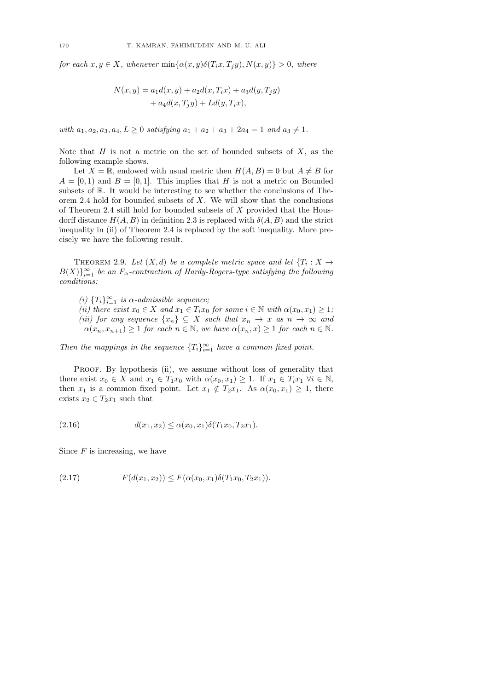for each  $x, y \in X$ , whenever  $\min{\alpha(x, y)\delta(T_i x, T_j y)}, N(x, y)} > 0$ , where

$$
N(x,y) = a_1 d(x,y) + a_2 d(x,T_i x) + a_3 d(y,T_j y) + a_4 d(x,T_j y) + L d(y,T_i x),
$$

with  $a_1, a_2, a_3, a_4, L \geq 0$  satisfying  $a_1 + a_2 + a_3 + 2a_4 = 1$  and  $a_3 \neq 1$ .

Note that  $H$  is not a metric on the set of bounded subsets of  $X$ , as the following example shows.

Let  $X = \mathbb{R}$ , endowed with usual metric then  $H(A, B) = 0$  but  $A \neq B$  for  $A = [0, 1]$  and  $B = [0, 1]$ . This implies that H is not a metric on Bounded subsets of R. It would be interesting to see whether the conclusions of Theorem 2.4 hold for bounded subsets of  $X$ . We will show that the conclusions of Theorem 2.4 still hold for bounded subsets of X provided that the Housdorff distance  $H(A, B)$  in definition 2.3 is replaced with  $\delta(A, B)$  and the strict inequality in (ii) of Theorem 2.4 is replaced by the soft inequality. More precisely we have the following result.

THEOREM 2.9. Let  $(X,d)$  be a complete metric space and let  $\{T_i : X \to Y\}$  $B(X)\}_{i=1}^{\infty}$  be an  $F_{\alpha}$ -contraction of Hardy-Rogers-type satisfying the following conditions:

(i)  ${T_i}_{i=1}^{\infty}$  is  $\alpha$ -admissible sequence;

(ii) there exist  $x_0 \in X$  and  $x_1 \in T_i x_0$  for some  $i \in \mathbb{N}$  with  $\alpha(x_0, x_1) \geq 1$ ; (iii) for any sequence  $\{x_n\} \subseteq X$  such that  $x_n \to x$  as  $n \to \infty$  and  $\alpha(x_n, x_{n+1}) \geq 1$  for each  $n \in \mathbb{N}$ , we have  $\alpha(x_n, x) \geq 1$  for each  $n \in \mathbb{N}$ .

Then the mappings in the sequence  $\{T_i\}_{i=1}^{\infty}$  have a common fixed point.

PROOF. By hypothesis (ii), we assume without loss of generality that there exist  $x_0 \in X$  and  $x_1 \in T_1x_0$  with  $\alpha(x_0, x_1) \geq 1$ . If  $x_1 \in T_ix_1 \ \forall i \in \mathbb{N}$ , then  $x_1$  is a common fixed point. Let  $x_1 \notin T_2x_1$ . As  $\alpha(x_0, x_1) \geq 1$ , there exists  $x_2 \in T_2x_1$  such that

(2.16) 
$$
d(x_1, x_2) \leq \alpha(x_0, x_1) \delta(T_1 x_0, T_2 x_1).
$$

Since  $F$  is increasing, we have

(2.17) 
$$
F(d(x_1,x_2)) \leq F(\alpha(x_0,x_1)\delta(T_1x_0,T_2x_1)).
$$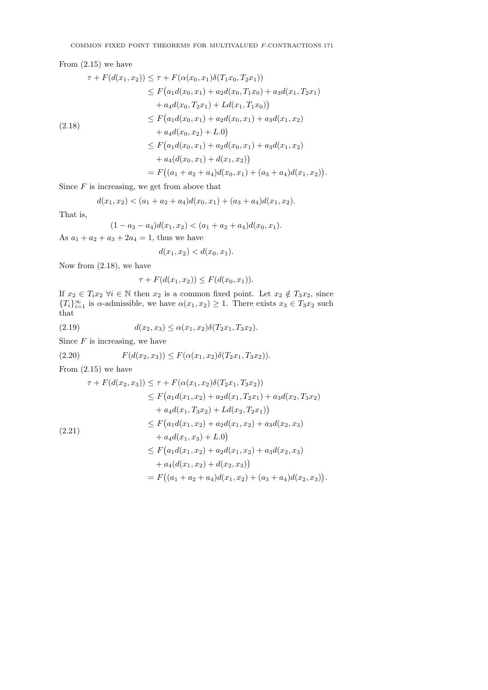# From (2.15) we have

$$
\tau + F(d(x_1, x_2)) \leq \tau + F(\alpha(x_0, x_1)\delta(T_1x_0, T_2x_1))
$$
  
\n
$$
\leq F(a_1d(x_0, x_1) + a_2d(x_0, T_1x_0) + a_3d(x_1, T_2x_1)
$$
  
\n
$$
+ a_4d(x_0, T_2x_1) + Ld(x_1, T_1x_0))
$$
  
\n
$$
\leq F(a_1d(x_0, x_1) + a_2d(x_0, x_1) + a_3d(x_1, x_2)
$$
  
\n
$$
+ a_4d(x_0, x_2) + L.0)
$$
  
\n
$$
\leq F(a_1d(x_0, x_1) + a_2d(x_0, x_1) + a_3d(x_1, x_2)
$$
  
\n
$$
+ a_4(d(x_0, x_1) + d(x_1, x_2))
$$
  
\n
$$
= F((a_1 + a_2 + a_4)d(x_0, x_1) + (a_3 + a_4)d(x_1, x_2)).
$$

Since  $F$  is increasing, we get from above that

$$
d(x_1, x_2) < (a_1 + a_2 + a_4)d(x_0, x_1) + (a_3 + a_4)d(x_1, x_2).
$$

That is,

$$
(1 - a_3 - a_4)d(x_1, x_2) < (a_1 + a_2 + a_4)d(x_0, x_1).
$$

As  $a_1 + a_2 + a_3 + 2a_4 = 1$ , thus we have

$$
d(x_1, x_2) < d(x_0, x_1).
$$

Now from (2.18), we have

$$
\tau + F(d(x_1, x_2)) \le F(d(x_0, x_1)).
$$

If  $x_2 \in T_i x_2 \ \forall i \in \mathbb{N}$  then  $x_2$  is a common fixed point. Let  $x_2 \notin T_3 x_2$ , since  ${T_i}_{i=1}^{\infty}$  is  $\alpha$ -admissible, we have  $\alpha(x_1, x_2) \geq 1$ . There exists  $x_3 \in T_3x_2$  such that

(2.19) 
$$
d(x_2, x_3) \leq \alpha(x_1, x_2) \delta(T_2 x_1, T_3 x_2).
$$

Since  $F$  is increasing, we have

(2.20) 
$$
F(d(x_2, x_3)) \leq F(\alpha(x_1, x_2)\delta(T_2x_1, T_3x_2)).
$$

From  $(2.15)$  we have

$$
\tau + F(d(x_2, x_3)) \leq \tau + F(\alpha(x_1, x_2)\delta(T_2x_1, T_3x_2))
$$
  
\n
$$
\leq F(a_1d(x_1, x_2) + a_2d(x_1, T_2x_1) + a_3d(x_2, T_3x_2)
$$
  
\n
$$
+ a_4d(x_1, T_3x_2) + Ld(x_2, T_2x_1))
$$
  
\n
$$
\leq F(a_1d(x_1, x_2) + a_2d(x_1, x_2) + a_3d(x_2, x_3)
$$
  
\n
$$
+ a_4d(x_1, x_3) + L.0)
$$
  
\n
$$
\leq F(a_1d(x_1, x_2) + a_2d(x_1, x_2) + a_3d(x_2, x_3)
$$
  
\n
$$
+ a_4(d(x_1, x_2) + d(x_2, x_3))
$$
  
\n
$$
= F((a_1 + a_2 + a_4)d(x_1, x_2) + (a_3 + a_4)d(x_2, x_3)).
$$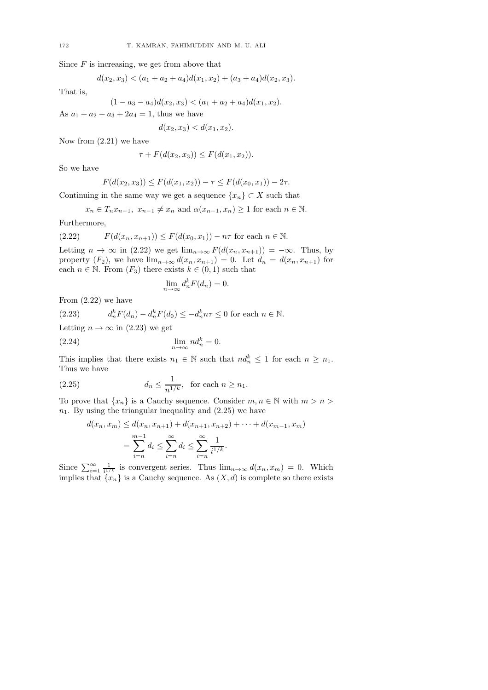Since  $F$  is increasing, we get from above that

$$
d(x_2, x_3) < (a_1 + a_2 + a_4)d(x_1, x_2) + (a_3 + a_4)d(x_2, x_3).
$$

That is,

$$
(1 - a_3 - a_4)d(x_2, x_3) < (a_1 + a_2 + a_4)d(x_1, x_2).
$$

As  $a_1 + a_2 + a_3 + 2a_4 = 1$ , thus we have

 $d(x_2, x_3) < d(x_1, x_2).$ 

Now from (2.21) we have

$$
\tau + F(d(x_2, x_3)) \le F(d(x_1, x_2)).
$$

So we have

$$
F(d(x_2, x_3)) \le F(d(x_1, x_2)) - \tau \le F(d(x_0, x_1)) - 2\tau.
$$

Continuing in the same way we get a sequence  $\{x_n\} \subset X$  such that

$$
x_n \in T_n x_{n-1}, x_{n-1} \neq x_n
$$
 and  $\alpha(x_{n-1}, x_n) \geq 1$  for each  $n \in \mathbb{N}$ .

Furthermore,

(2.22) 
$$
F(d(x_n, x_{n+1})) \le F(d(x_0, x_1)) - n\tau \text{ for each } n \in \mathbb{N}.
$$

Letting  $n \to \infty$  in (2.22) we get  $\lim_{n\to\infty} F(d(x_n, x_{n+1})) = -\infty$ . Thus, by property  $(F_2)$ , we have  $\lim_{n\to\infty} d(x_n, x_{n+1}) = 0$ . Let  $d_n = d(x_n, x_{n+1})$  for each  $n \in \mathbb{N}$ . From  $(F_3)$  there exists  $k \in (0,1)$  such that

$$
\lim_{n \to \infty} d_n^k F(d_n) = 0.
$$

From (2.22) we have

(2.23) 
$$
d_n^k F(d_n) - d_n^k F(d_0) \le -d_n^k n\tau \le 0 \text{ for each } n \in \mathbb{N}.
$$
  
Letting  $n \to \infty$  in (2.23) we get

(2.24) 
$$
\lim_{n \to \infty} nd_n^k = 0.
$$

This implies that there exists  $n_1 \in \mathbb{N}$  such that  $nd_n^k \leq 1$  for each  $n \geq n_1$ . Thus we have

(2.25) 
$$
d_n \le \frac{1}{n^{1/k}}, \text{ for each } n \ge n_1.
$$

To prove that  $\{x_n\}$  is a Cauchy sequence. Consider  $m, n \in \mathbb{N}$  with  $m > n >$  $n_1$ . By using the triangular inequality and  $(2.25)$  we have

$$
d(x_n, x_m) \le d(x_n, x_{n+1}) + d(x_{n+1}, x_{n+2}) + \dots + d(x_{m-1}, x_m)
$$
  
= 
$$
\sum_{i=n}^{m-1} d_i \le \sum_{i=n}^{\infty} d_i \le \sum_{i=n}^{\infty} \frac{1}{i^{1/k}}.
$$

Since  $\sum_{i=1}^{\infty} \frac{1}{i!/k}$  is convergent series. Thus  $\lim_{n\to\infty} d(x_n, x_m) = 0$ . Which implies that  $\{x_n\}$  is a Cauchy sequence. As  $(X, d)$  is complete so there exists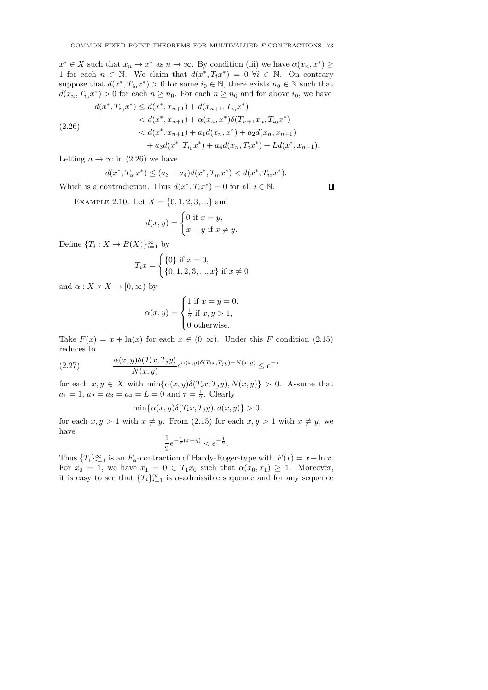$x^* \in X$  such that  $x_n \to x^*$  as  $n \to \infty$ . By condition (iii) we have  $\alpha(x_n, x^*) \geq$ 1 for each  $n \in \mathbb{N}$ . We claim that  $d(x^*, T_i x^*) = 0 \ \forall i \in \mathbb{N}$ . On contrary suppose that  $d(x^*, T_{i_0}x^*) > 0$  for some  $i_0 \in \mathbb{N}$ , there exists  $n_0 \in \mathbb{N}$  such that  $d(x_n, T_{i_0}x^*) > 0$  for each  $n \geq n_0$ . For each  $n \geq n_0$  and for above  $i_0$ , we have

$$
d(x^*, T_{i_0}x^*) \le d(x^*, x_{n+1}) + d(x_{n+1}, T_{i_0}x^*)
$$
  

$$
< d(x^*, x_{n+1}) + \alpha(x_n, x^*)\delta(T_{n+1}x_n, T_{i_0}x^*)
$$
  

$$
< d(x^*, x_{n+1}) + a_1d(x_n, x^*) + a_2d(x_n, x_{n+1})
$$
  

$$
+ a_3d(x^*, T_{i_0}x^*) + a_4d(x_n, T_ix^*) + Ld(x^*, x_{n+1}).
$$

Letting  $n \to \infty$  in (2.26) we have

$$
d(x^*, T_{i_0}x^*) \le (a_3 + a_4)d(x^*, T_{i_0}x^*) < d(x^*, T_{i_0}x^*).
$$

Which is a contradiction. Thus  $d(x^*, T_i x^*) = 0$  for all  $i \in \mathbb{N}$ .

EXAMPLE 2.10. Let  $X = \{0, 1, 2, 3, ...\}$  and

$$
d(x,y) = \begin{cases} 0 \text{ if } x = y, \\ x + y \text{ if } x \neq y. \end{cases}
$$

Define  ${T_i: X \to B(X)}_{i=1}^{\infty}$  by

$$
T_i x = \begin{cases} \{0\} \text{ if } x = 0, \\ \{0, 1, 2, 3, ..., x\} \text{ if } x \neq 0 \end{cases}
$$

and  $\alpha: X \times X \to [0, \infty)$  by

$$
\alpha(x, y) = \begin{cases} 1 \text{ if } x = y = 0, \\ \frac{1}{2} \text{ if } x, y > 1, \\ 0 \text{ otherwise.} \end{cases}
$$

Take  $F(x) = x + \ln(x)$  for each  $x \in (0, \infty)$ . Under this F condition (2.15) reduces to

(2.27) 
$$
\frac{\alpha(x,y)\delta(T_ix,T_jy)}{N(x,y)}e^{\alpha(x,y)\delta(T_ix,T_jy)-N(x,y)} \leq e^{-\tau}
$$

for each  $x, y \in X$  with  $\min{\{\alpha(x, y)\delta(T_i x, T_j y), N(x, y)\}} > 0$ . Assume that  $a_1 = 1, a_2 = a_3 = a_4 = L = 0$  and  $\tau = \frac{1}{2}$ . Clearly

$$
\min\{\alpha(x,y)\delta(T_ix,T_jy),d(x,y)\}>0
$$

for each  $x, y > 1$  with  $x \neq y$ . From (2.15) for each  $x, y > 1$  with  $x \neq y$ , we have

$$
\frac{1}{2}e^{-\frac{1}{2}(x+y)} < e^{-\frac{1}{2}}.
$$

Thus  ${T_i}_{i=1}^{\infty}$  is an  $F_{\alpha}$ -contraction of Hardy-Roger-type with  $F(x) = x + \ln x$ . For  $x_0 = 1$ , we have  $x_1 = 0 \in T_1x_0$  such that  $\alpha(x_0, x_1) \geq 1$ . Moreover, it is easy to see that  $\{T_i\}_{i=1}^{\infty}$  is  $\alpha$ -admissible sequence and for any sequence

 $\Box$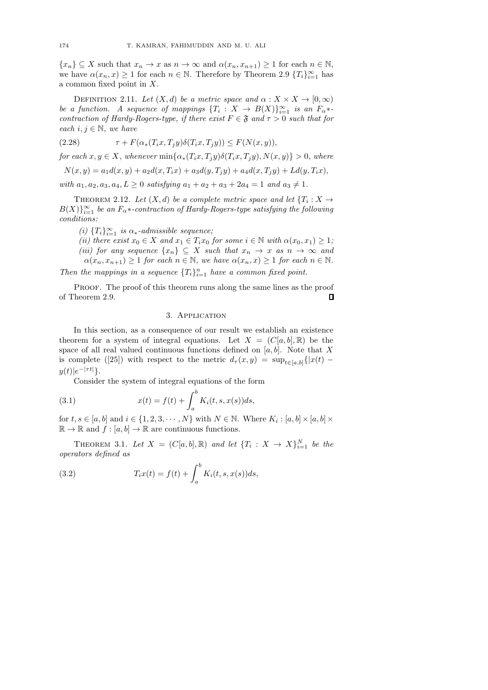${x_n} \subseteq X$  such that  $x_n \to x$  as  $n \to \infty$  and  $\alpha(x_n, x_{n+1}) \geq 1$  for each  $n \in \mathbb{N}$ , we have  $\alpha(x_n, x) \geq 1$  for each  $n \in \mathbb{N}$ . Therefore by Theorem 2.9  $\{T_i\}_{i=1}^{\infty}$  has a common fixed point in X.

DEFINITION 2.11. Let  $(X, d)$  be a metric space and  $\alpha : X \times X \to [0, \infty)$ be a function. A sequence of mappings  $\{T_i\,:\,X\,\rightarrow\,B(X)\}_{i=1}^\infty$  is an  $F_{\alpha}$ \*contraction of Hardy-Rogers-type, if there exist  $F \in \mathfrak{F}$  and  $\tau > 0$  such that for each  $i, j \in \mathbb{N}$ , we have

(2.28) 
$$
\tau + F(\alpha_*(T_i x, T_j y)\delta(T_i x, T_j y)) \le F(N(x, y)),
$$

for each  $x, y \in X$ , whenever  $\min{\alpha_*(T_i x, T_j y)\delta(T_i x, T_j y)}, N(x, y) > 0$ , where

 $N(x, y) = a_1 d(x, y) + a_2 d(x, T_i x) + a_3 d(y, T_j y) + a_4 d(x, T_j y) + L d(y, T_i x),$ 

with  $a_1, a_2, a_3, a_4, L \geq 0$  satisfying  $a_1 + a_2 + a_3 + 2a_4 = 1$  and  $a_3 \neq 1$ .

THEOREM 2.12. Let  $(X,d)$  be a complete metric space and let  $\{T_i : X \to Y\}$  $B(X)\}_{i=1}^\infty$  be an  $F_\alpha *$ -contraction of Hardy-Rogers-type satisfying the following conditions:

(i)  $\{T_i\}_{i=1}^{\infty}$  is  $\alpha_*$ -admissible sequence;

(ii) there exist  $x_0 \in X$  and  $x_1 \in T_i x_0$  for some  $i \in \mathbb{N}$  with  $\alpha(x_0, x_1) \geq 1$ ; (iii) for any sequence  $\{x_n\} \subseteq X$  such that  $x_n \to x$  as  $n \to \infty$  and  $\alpha(x_n, x_{n+1}) \geq 1$  for each  $n \in \mathbb{N}$ , we have  $\alpha(x_n, x) \geq 1$  for each  $n \in \mathbb{N}$ .

Then the mappings in a sequence  $\{T_i\}_{i=1}^n$  have a common fixed point.

PROOF. The proof of this theorem runs along the same lines as the proof  $\Box$ of Theorem 2.9.

## 3. Application

In this section, as a consequence of our result we establish an existence theorem for a system of integral equations. Let  $X = (C[a, b], \mathbb{R})$  be the space of all real valued continuous functions defined on  $[a, b]$ . Note that X is complete ([25]) with respect to the metric  $d_{\tau}(x, y) = \sup_{t \in [a, b]} \{|x(t)$  $y(t)|e^{-|\tau t|}\}.$ 

Consider the system of integral equations of the form

(3.1) 
$$
x(t) = f(t) + \int_{a}^{b} K_i(t, s, x(s)) ds,
$$

for  $t, s \in [a, b]$  and  $i \in \{1, 2, 3, \dots, N\}$  with  $N \in \mathbb{N}$ . Where  $K_i : [a, b] \times [a, b] \times$  $\mathbb{R} \to \mathbb{R}$  and  $f : [a, b] \to \mathbb{R}$  are continuous functions.

THEOREM 3.1. Let  $X = (C[a, b], \mathbb{R})$  and let  $\{T_i : X \to X\}_{i=1}^N$  be the operators defined as

(3.2) 
$$
T_i x(t) = f(t) + \int_a^b K_i(t, s, x(s)) ds,
$$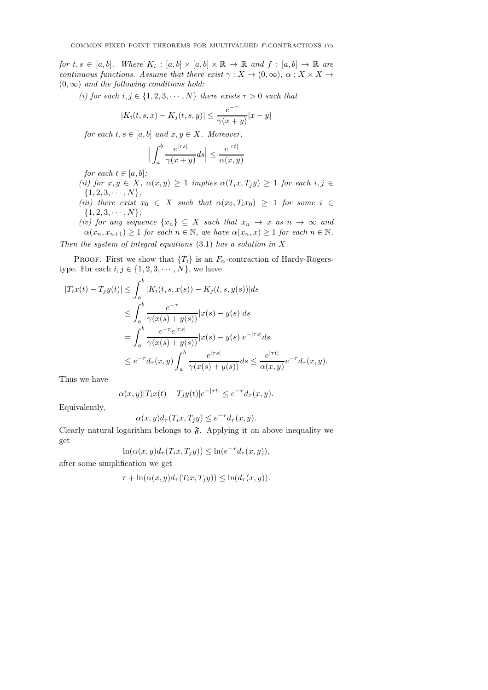for  $t,s \in [a,b]$ . Where  $K_i : [a,b] \times [a,b] \times \mathbb{R} \rightarrow \mathbb{R}$  and  $f : [a,b] \rightarrow \mathbb{R}$  are continuous functions. Assume that there exist  $\gamma: X \to (0,\infty), \alpha: X \times X \to$  $(0, \infty)$  and the following conditions hold:

(i) for each  $i, j \in \{1, 2, 3, \cdots, N\}$  there exists  $\tau > 0$  such that

$$
|K_i(t, s, x) - K_j(t, s, y)| \le \frac{e^{-\tau}}{\gamma(x + y)} |x - y|
$$

for each  $t, s \in [a, b]$  and  $x, y \in X$ . Moreover,

$$
\Big|\int_{a}^{b} \frac{e^{|\tau s|}}{\gamma(x+y)} ds \Big| \le \frac{e^{|\tau t|}}{\alpha(x,y)}
$$

for each  $t \in [a, b]$ ;

(ii) for  $x, y \in X$ ,  $\alpha(x, y) \geq 1$  implies  $\alpha(T_i x, T_j y) \geq 1$  for each  $i, j \in$  $\{1, 2, 3, \cdots, N\};$ 

(iii) there exist  $x_0 \in X$  such that  $\alpha(x_0, T_i x_0) \geq 1$  for some  $i \in$  $\{1, 2, 3, \cdots, N\};$ 

(iv) for any sequence  $\{x_n\} \subseteq X$  such that  $x_n \to x$  as  $n \to \infty$  and  $\alpha(x_n, x_{n+1}) \geq 1$  for each  $n \in \mathbb{N}$ , we have  $\alpha(x_n, x) \geq 1$  for each  $n \in \mathbb{N}$ . Then the system of integral equations  $(3.1)$  has a solution in X.

PROOF. First we show that  ${T_i}$  is an  $F_\alpha$ -contraction of Hardy-Rogerstype. For each  $i, j \in \{1, 2, 3, \cdots, N\}$ , we have

$$
|T_{i}x(t) - T_{j}y(t)| \leq \int_{a}^{b} |K_{i}(t, s, x(s)) - K_{j}(t, s, y(s))| ds
$$
  
\n
$$
\leq \int_{a}^{b} \frac{e^{-\tau}}{\gamma(x(s) + y(s))} |x(s) - y(s)| ds
$$
  
\n
$$
= \int_{a}^{b} \frac{e^{-\tau} e^{|\tau s|}}{\gamma(x(s) + y(s))} |x(s) - y(s)| e^{-|\tau s|} ds
$$
  
\n
$$
\leq e^{-\tau} d_{\tau}(x, y) \int_{a}^{b} \frac{e^{|\tau s|}}{\gamma(x(s) + y(s))} ds \leq \frac{e^{|\tau t|}}{\alpha(x, y)} e^{-\tau} d_{\tau}(x, y).
$$

Thus we have

$$
\alpha(x,y)|T_ix(t) - T_jy(t)|e^{-|\tau t|} \le e^{-\tau}d_{\tau}(x,y).
$$

Equivalently,

$$
\alpha(x, y)d_{\tau}(T_i x, T_j y) \le e^{-\tau} d_{\tau}(x, y).
$$

Clearly natural logarithm belongs to  $\mathfrak{F}$ . Applying it on above inequality we get

$$
\ln(\alpha(x,y)d_{\tau}(T_ix,T_jy)) \leq \ln(e^{-\tau}d_{\tau}(x,y)),
$$

after some simplification we get

$$
\tau + \ln(\alpha(x, y)d_{\tau}(T_i x, T_j y)) \leq \ln(d_{\tau}(x, y)).
$$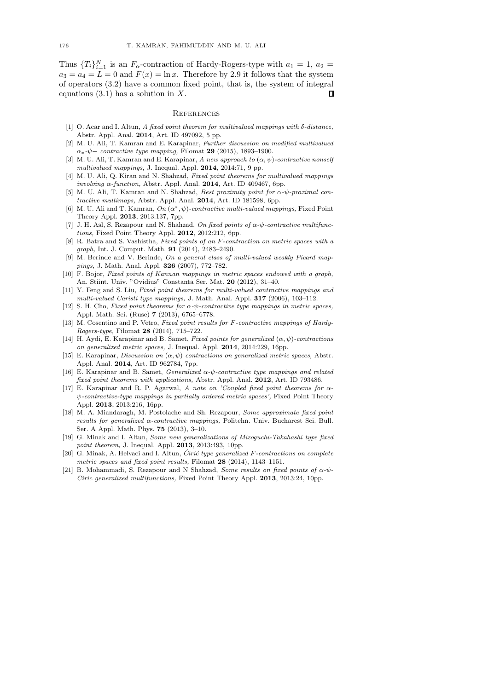Thus  ${T_i}_{i=1}^N$  is an  $F_\alpha$ -contraction of Hardy-Rogers-type with  $a_1 = 1, a_2 =$  $a_3 = a_4 = L = 0$  and  $F(x) = \ln x$ . Therefore by 2.9 it follows that the system of operators (3.2) have a common fixed point, that is, the system of integral equations  $(3.1)$  has a solution in X.  $\Box$ 

#### **REFERENCES**

- [1] O. Acar and I. Altun, A fixed point theorem for multivalued mappings with  $\delta$ -distance, Abstr. Appl. Anal. 2014, Art. ID 497092, 5 pp.
- [2] M. U. Ali, T. Kamran and E. Karapinar, Further discussion on modified multivalued  $\alpha_*$ - $\psi$ − contractive type mapping, Filomat 29 (2015), 1893–1900.
- [3] M. U. Ali, T. Kamran and E. Karapinar, A new approach to  $(\alpha, \psi)$ -contractive nonself multivalued mappings, J. Inequal. Appl. 2014, 2014:71, 9 pp.
- [4] M. U. Ali, Q. Kiran and N. Shahzad, Fixed point theorems for multivalued mappings involving  $\alpha$ -function, Abstr. Appl. Anal. 2014, Art. ID 409467, 6pp.
- [5] M. U. Ali, T. Kamran and N. Shahzad, Best proximity point for α-ψ-proximal contractive multimaps, Abstr. Appl. Anal. 2014, Art. ID 181598, 6pp.
- [6] M. U. Ali and T. Kamran,  $On (\alpha^*, \psi)$ -contractive multi-valued mappings, Fixed Point Theory Appl. 2013, 2013:137, 7pp.
- J. H. Asl, S. Rezapour and N. Shahzad, On fixed points of  $\alpha$ - $\psi$ -contractive multifunctions, Fixed Point Theory Appl. 2012, 2012:212, 6pp.
- [8] R. Batra and S. Vashistha, Fixed points of an F-contraction on metric spaces with a graph, Int. J. Comput. Math. 91 (2014), 2483–2490.
- [9] M. Berinde and V. Berinde, On a general class of multi-valued weakly Picard mappings, J. Math. Anal. Appl. 326 (2007), 772–782.
- [10] F. Bojor, Fixed points of Kannan mappings in metric spaces endowed with a graph, An. Stiint. Univ. "Ovidius" Constanta Ser. Mat. 20 (2012), 31–40.
- [11] Y. Feng and S. Liu, Fixed point theorems for multi-valued contractive mappings and multi-valued Caristi type mappings, J. Math. Anal. Appl. 317 (2006), 103–112.
- [12] S. H. Cho, Fixed point theorems for  $\alpha$ - $\psi$ -contractive type mappings in metric spaces, Appl. Math. Sci. (Ruse) 7 (2013), 6765–6778.
- [13] M. Cosentino and P. Vetro, Fixed point results for F-contractive mappings of Hardy-Rogers-type, Filomat 28 (2014), 715–722.
- [14] H. Aydi, E. Karapinar and B. Samet, Fixed points for generalized  $(\alpha, \psi)$ -contractions on generalized metric spaces, J. Inequal. Appl. 2014, 2014:229, 16pp.
- [15] E. Karapinar, Discussion on  $(\alpha, \psi)$  contractions on generalized metric spaces, Abstr. Appl. Anal. 2014, Art. ID 962784, 7pp.
- [16] E. Karapinar and B. Samet, *Generalized*  $\alpha$ *-ψ-contractive type mappings and related* fixed point theorems with applications, Abstr. Appl. Anal. 2012, Art. ID 793486.
- [17] E. Karapinar and R. P. Agarwal, A note on 'Coupled fixed point theorems for  $\alpha$ ψ-contractive-type mappings in partially ordered metric spaces', Fixed Point Theory Appl. 2013, 2013:216, 16pp.
- [18] M. A. Miandaragh, M. Postolache and Sh. Rezapour, Some approximate fixed point results for generalized α-contractive mappings, Politehn. Univ. Bucharest Sci. Bull. Ser. A Appl. Math. Phys. 75 (2013), 3–10.
- [19] G. Minak and I. Altun, Some new generalizations of Mizoguchi-Takahashi type fixed point theorem, J. Inequal. Appl. **2013**, 2013:493, 10pp.
- [20] G. Minak, A. Helvaci and I. Altun,  $\acute{C}$ irić type generalized  $F$ -contractions on complete metric spaces and fixed point results, Filomat 28 (2014), 1143-1151.
- [21] B. Mohammadi, S. Rezapour and N Shahzad, Some results on fixed points of  $\alpha$ - $\psi$ -Ciric generalized multifunctions, Fixed Point Theory Appl. 2013, 2013:24, 10pp.